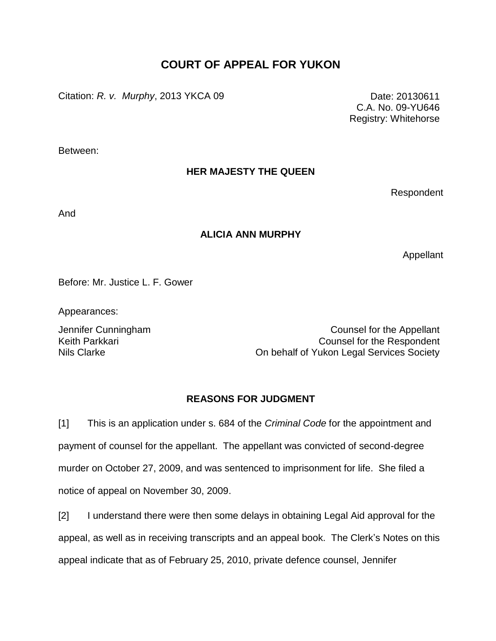# **COURT OF APPEAL FOR YUKON**

Citation: *R. v. Murphy*, 2013 YKCA 09 Date: 20130611

C.A. No. 09-YU646 Registry: Whitehorse

Between:

# **HER MAJESTY THE QUEEN**

Respondent

And

# **ALICIA ANN MURPHY**

Appellant

Before: Mr. Justice L. F. Gower

Appearances:

Keith Parkkari Nils Clarke

Jennifer Cunningham Counsel for the Appellant Counsel for the Respondent On behalf of Yukon Legal Services Society

# **REASONS FOR JUDGMENT**

[1] This is an application under s. 684 of the *Criminal Code* for the appointment and payment of counsel for the appellant. The appellant was convicted of second-degree murder on October 27, 2009, and was sentenced to imprisonment for life. She filed a notice of appeal on November 30, 2009.

[2] I understand there were then some delays in obtaining Legal Aid approval for the appeal, as well as in receiving transcripts and an appeal book. The Clerk's Notes on this appeal indicate that as of February 25, 2010, private defence counsel, Jennifer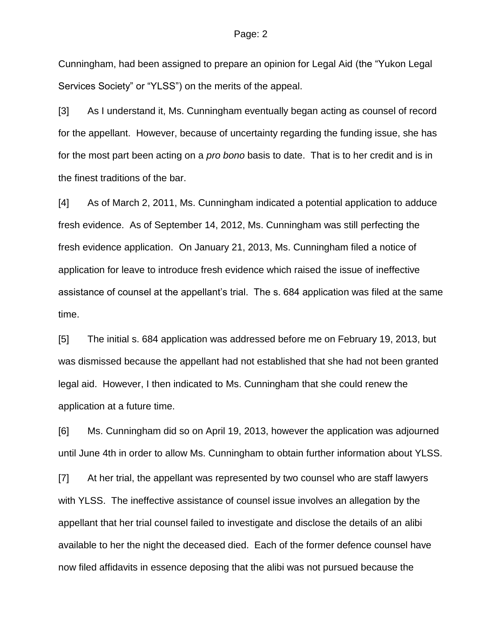Cunningham, had been assigned to prepare an opinion for Legal Aid (the "Yukon Legal Services Society" or "YLSS") on the merits of the appeal.

[3] As I understand it, Ms. Cunningham eventually began acting as counsel of record for the appellant. However, because of uncertainty regarding the funding issue, she has for the most part been acting on a *pro bono* basis to date. That is to her credit and is in the finest traditions of the bar.

[4] As of March 2, 2011, Ms. Cunningham indicated a potential application to adduce fresh evidence. As of September 14, 2012, Ms. Cunningham was still perfecting the fresh evidence application. On January 21, 2013, Ms. Cunningham filed a notice of application for leave to introduce fresh evidence which raised the issue of ineffective assistance of counsel at the appellant's trial. The s. 684 application was filed at the same time.

[5] The initial s. 684 application was addressed before me on February 19, 2013, but was dismissed because the appellant had not established that she had not been granted legal aid. However, I then indicated to Ms. Cunningham that she could renew the application at a future time.

[6] Ms. Cunningham did so on April 19, 2013, however the application was adjourned until June 4th in order to allow Ms. Cunningham to obtain further information about YLSS.

[7] At her trial, the appellant was represented by two counsel who are staff lawyers with YLSS. The ineffective assistance of counsel issue involves an allegation by the appellant that her trial counsel failed to investigate and disclose the details of an alibi available to her the night the deceased died. Each of the former defence counsel have now filed affidavits in essence deposing that the alibi was not pursued because the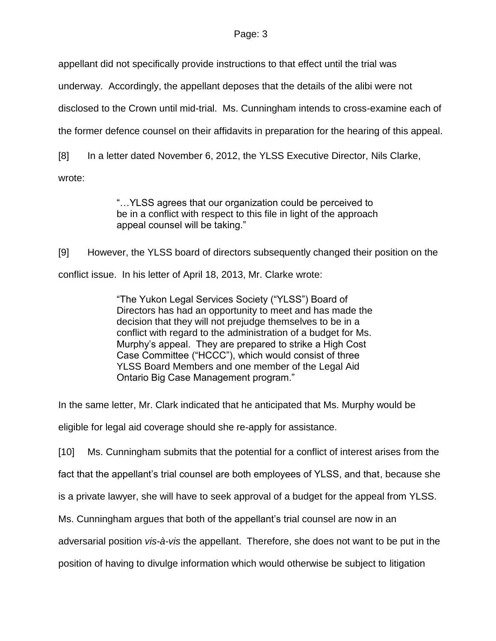appellant did not specifically provide instructions to that effect until the trial was

underway. Accordingly, the appellant deposes that the details of the alibi were not

disclosed to the Crown until mid-trial. Ms. Cunningham intends to cross-examine each of

the former defence counsel on their affidavits in preparation for the hearing of this appeal.

[8] In a letter dated November 6, 2012, the YLSS Executive Director, Nils Clarke,

wrote:

"…YLSS agrees that our organization could be perceived to be in a conflict with respect to this file in light of the approach appeal counsel will be taking."

[9] However, the YLSS board of directors subsequently changed their position on the conflict issue. In his letter of April 18, 2013, Mr. Clarke wrote:

> "The Yukon Legal Services Society ("YLSS") Board of Directors has had an opportunity to meet and has made the decision that they will not prejudge themselves to be in a conflict with regard to the administration of a budget for Ms. Murphy's appeal. They are prepared to strike a High Cost Case Committee ("HCCC"), which would consist of three YLSS Board Members and one member of the Legal Aid Ontario Big Case Management program."

In the same letter, Mr. Clark indicated that he anticipated that Ms. Murphy would be

eligible for legal aid coverage should she re-apply for assistance.

[10] Ms. Cunningham submits that the potential for a conflict of interest arises from the

fact that the appellant's trial counsel are both employees of YLSS, and that, because she

is a private lawyer, she will have to seek approval of a budget for the appeal from YLSS.

Ms. Cunningham argues that both of the appellant's trial counsel are now in an

adversarial position *vis-à-vis* the appellant. Therefore, she does not want to be put in the

position of having to divulge information which would otherwise be subject to litigation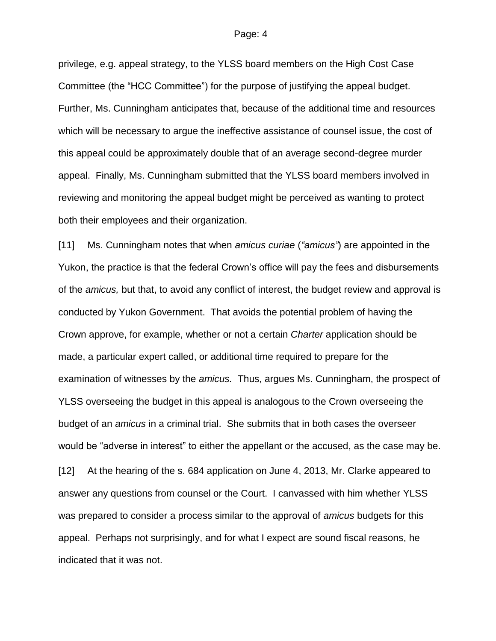privilege, e.g. appeal strategy, to the YLSS board members on the High Cost Case Committee (the "HCC Committee") for the purpose of justifying the appeal budget. Further, Ms. Cunningham anticipates that, because of the additional time and resources which will be necessary to argue the ineffective assistance of counsel issue, the cost of this appeal could be approximately double that of an average second-degree murder appeal. Finally, Ms. Cunningham submitted that the YLSS board members involved in reviewing and monitoring the appeal budget might be perceived as wanting to protect both their employees and their organization.

[11] Ms. Cunningham notes that when *amicus curiae* (*"amicus"*) are appointed in the Yukon, the practice is that the federal Crown's office will pay the fees and disbursements of the *amicus,* but that, to avoid any conflict of interest, the budget review and approval is conducted by Yukon Government. That avoids the potential problem of having the Crown approve, for example, whether or not a certain *Charter* application should be made, a particular expert called, or additional time required to prepare for the examination of witnesses by the *amicus.* Thus, argues Ms. Cunningham, the prospect of YLSS overseeing the budget in this appeal is analogous to the Crown overseeing the budget of an *amicus* in a criminal trial. She submits that in both cases the overseer would be "adverse in interest" to either the appellant or the accused, as the case may be. [12] At the hearing of the s. 684 application on June 4, 2013, Mr. Clarke appeared to answer any questions from counsel or the Court. I canvassed with him whether YLSS was prepared to consider a process similar to the approval of *amicus* budgets for this appeal. Perhaps not surprisingly, and for what I expect are sound fiscal reasons, he indicated that it was not.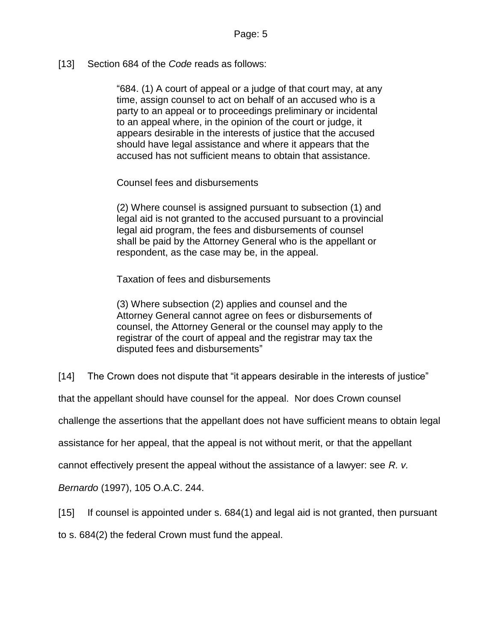[13] Section 684 of the *Code* reads as follows:

"684. (1) A court of appeal or a judge of that court may, at any time, assign counsel to act on behalf of an accused who is a party to an appeal or to proceedings preliminary or incidental to an appeal where, in the opinion of the court or judge, it appears desirable in the interests of justice that the accused should have legal assistance and where it appears that the accused has not sufficient means to obtain that assistance.

Counsel fees and disbursements

(2) Where counsel is assigned pursuant to subsection (1) and legal aid is not granted to the accused pursuant to a provincial legal aid program, the fees and disbursements of counsel shall be paid by the Attorney General who is the appellant or respondent, as the case may be, in the appeal.

Taxation of fees and disbursements

(3) Where subsection (2) applies and counsel and the Attorney General cannot agree on fees or disbursements of counsel, the Attorney General or the counsel may apply to the registrar of the court of appeal and the registrar may tax the disputed fees and disbursements"

[14] The Crown does not dispute that "it appears desirable in the interests of justice"

that the appellant should have counsel for the appeal. Nor does Crown counsel

challenge the assertions that the appellant does not have sufficient means to obtain legal

assistance for her appeal, that the appeal is not without merit, or that the appellant

cannot effectively present the appeal without the assistance of a lawyer: see *R. v.*

*Bernardo* (1997), 105 O.A.C. 244.

[15] If counsel is appointed under s. 684(1) and legal aid is not granted, then pursuant

to s. 684(2) the federal Crown must fund the appeal.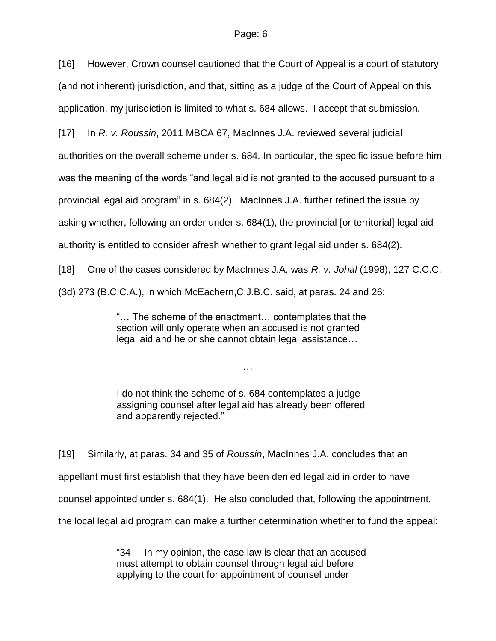[16] However, Crown counsel cautioned that the Court of Appeal is a court of statutory (and not inherent) jurisdiction, and that, sitting as a judge of the Court of Appeal on this application, my jurisdiction is limited to what s. 684 allows. I accept that submission.

[17] In *R. v. Roussin*, 2011 MBCA 67, MacInnes J.A. reviewed several judicial

authorities on the overall scheme under s. 684. In particular, the specific issue before him

was the meaning of the words "and legal aid is not granted to the accused pursuant to a

provincial legal aid program" in s. 684(2). MacInnes J.A. further refined the issue by

asking whether, following an order under s. 684(1), the provincial [or territorial] legal aid

authority is entitled to consider afresh whether to grant legal aid under s. 684(2).

[18] One of the cases considered by MacInnes J.A. was *R. v. Johal* (1998), 127 C.C.C.

(3d) 273 (B.C.C.A.), in which McEachern,C.J.B.C. said, at paras. 24 and 26:

"… The scheme of the enactment… contemplates that the section will only operate when an accused is not granted legal aid and he or she cannot obtain legal assistance…

I do not think the scheme of s. 684 contemplates a judge assigning counsel after legal aid has already been offered and apparently rejected."

…

[19] Similarly, at paras. 34 and 35 of *Roussin*, MacInnes J.A. concludes that an appellant must first establish that they have been denied legal aid in order to have counsel appointed under s. 684(1). He also concluded that, following the appointment, the local legal aid program can make a further determination whether to fund the appeal:

> "34 In my opinion, the case law is clear that an accused must attempt to obtain counsel through legal aid before applying to the court for appointment of counsel under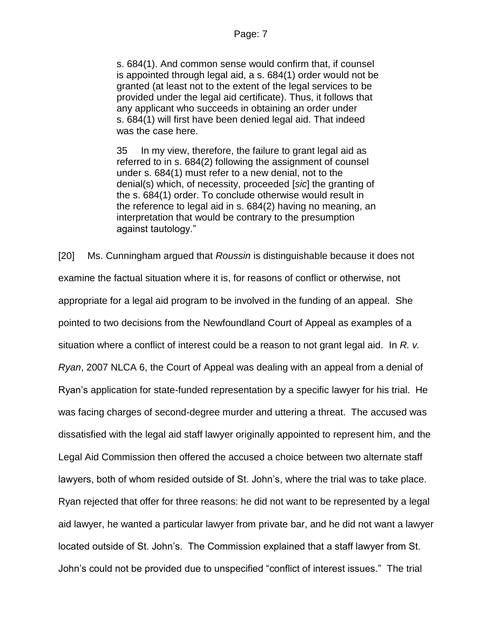s. 684(1). And common sense would confirm that, if counsel is appointed through legal aid, a s. 684(1) order would not be granted (at least not to the extent of the legal services to be provided under the legal aid certificate). Thus, it follows that any applicant who succeeds in obtaining an order under s. 684(1) will first have been denied legal aid. That indeed was the case here.

35 In my view, therefore, the failure to grant legal aid as referred to in s. 684(2) following the assignment of counsel under s. 684(1) must refer to a new denial, not to the denial(s) which, of necessity, proceeded [*sic*] the granting of the s. 684(1) order. To conclude otherwise would result in the reference to legal aid in s. 684(2) having no meaning, an interpretation that would be contrary to the presumption against tautology."

[20] Ms. Cunningham argued that *Roussin* is distinguishable because it does not examine the factual situation where it is, for reasons of conflict or otherwise, not appropriate for a legal aid program to be involved in the funding of an appeal. She pointed to two decisions from the Newfoundland Court of Appeal as examples of a situation where a conflict of interest could be a reason to not grant legal aid. In *R. v. Ryan*, 2007 NLCA 6, the Court of Appeal was dealing with an appeal from a denial of Ryan's application for state-funded representation by a specific lawyer for his trial. He was facing charges of second-degree murder and uttering a threat. The accused was dissatisfied with the legal aid staff lawyer originally appointed to represent him, and the Legal Aid Commission then offered the accused a choice between two alternate staff lawyers, both of whom resided outside of St. John's, where the trial was to take place. Ryan rejected that offer for three reasons: he did not want to be represented by a legal aid lawyer, he wanted a particular lawyer from private bar, and he did not want a lawyer located outside of St. John's. The Commission explained that a staff lawyer from St. John's could not be provided due to unspecified "conflict of interest issues." The trial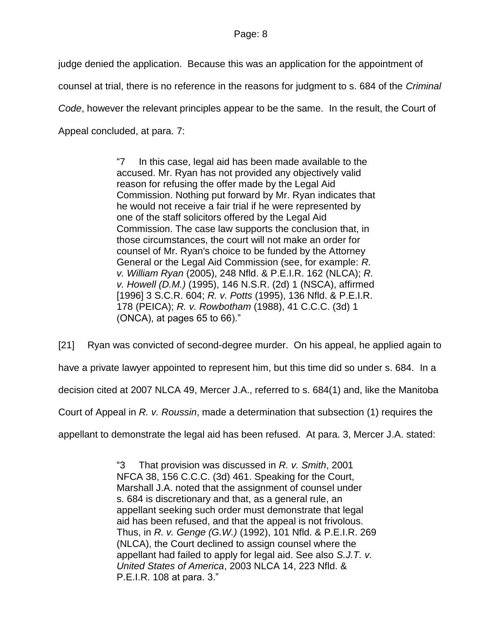judge denied the application. Because this was an application for the appointment of counsel at trial, there is no reference in the reasons for judgment to s. 684 of the *Criminal Code*, however the relevant principles appear to be the same. In the result, the Court of Appeal concluded, at para. 7:

> "7 In this case, legal aid has been made available to the accused. Mr. Ryan has not provided any objectively valid reason for refusing the offer made by the Legal Aid Commission. Nothing put forward by Mr. Ryan indicates that he would not receive a fair trial if he were represented by one of the staff solicitors offered by the Legal Aid Commission. The case law supports the conclusion that, in those circumstances, the court will not make an order for counsel of Mr. Ryan's choice to be funded by the Attorney General or the Legal Aid Commission (see, for example: *R. v. William Ryan* [\(2005\), 248 Nfld. & P.E.I.R. 162](http://www.lexisnexis.com/ca/legal/search/runRemoteLink.do?langcountry=CA&linkInfo=F%23CA%23NFPR%23decisiondate%252005%25sel2%25248%25year%252005%25page%25162%25sel1%252005%25vol%25248%25&risb=21_T17553993925&bct=A&service=citation&A=0.5562129754872834) (NLCA); *R. v. Howell (D.M.)* [\(1995\), 146 N.S.R. \(2d\) 1](http://www.lexisnexis.com/ca/legal/search/runRemoteLink.do?langcountry=CA&linkInfo=F%23CA%23NSR2%23decisiondate%251995%25sel2%25146%25year%251995%25page%251%25sel1%251995%25vol%25146%25&risb=21_T17553993925&bct=A&service=citation&A=0.24479685098298354) (NSCA), affirmed [\[1996\] 3 S.C.R. 604;](http://www.lexisnexis.com/ca/legal/search/runRemoteLink.do?langcountry=CA&linkInfo=F%23CA%23SCR%23sel2%253%25year%251996%25page%25604%25sel1%251996%25vol%253%25&risb=21_T17553993925&bct=A&service=citation&A=0.93200760646949) *R. v. Potts* [\(1995\), 136 Nfld. & P.E.I.R.](http://www.lexisnexis.com/ca/legal/search/runRemoteLink.do?langcountry=CA&linkInfo=F%23CA%23NFPR%23decisiondate%251995%25sel2%25136%25year%251995%25page%25178%25sel1%251995%25vol%25136%25&risb=21_T17553993925&bct=A&service=citation&A=0.29119854979787396)  [178](http://www.lexisnexis.com/ca/legal/search/runRemoteLink.do?langcountry=CA&linkInfo=F%23CA%23NFPR%23decisiondate%251995%25sel2%25136%25year%251995%25page%25178%25sel1%251995%25vol%25136%25&risb=21_T17553993925&bct=A&service=citation&A=0.29119854979787396) (PEICA); *R. v. Rowbotham* [\(1988\), 41 C.C.C. \(3d\) 1](http://www.lexisnexis.com/ca/legal/search/runRemoteLink.do?langcountry=CA&linkInfo=F%23CA%23CCC3%23decisiondate%251988%25sel2%2541%25year%251988%25page%251%25sel1%251988%25vol%2541%25&risb=21_T17553993925&bct=A&service=citation&A=0.7339132410734748) (ONCA), at pages 65 to 66)."

[21] Ryan was convicted of second-degree murder. On his appeal, he applied again to have a private lawyer appointed to represent him, but this time did so under s. 684. In a decision cited at 2007 NLCA 49, Mercer J.A., referred to s. 684(1) and, like the Manitoba Court of Appeal in *R. v. Roussin*, made a determination that subsection (1) requires the

appellant to demonstrate the legal aid has been refused. At para. 3, Mercer J.A. stated:

"3 That provision was discussed in *R. v. Smith*, [2001](http://www.lexisnexis.com/ca/legal/search/runRemoteLink.do?langcountry=CA&linkInfo=F%23CA%23NFCA%23onum%2538%25decisiondate%252001%25year%252001%25sel1%252001%25&risb=21_T17554091002&bct=A&service=citation&A=0.3717281152984766)  [NFCA 38,](http://www.lexisnexis.com/ca/legal/search/runRemoteLink.do?langcountry=CA&linkInfo=F%23CA%23NFCA%23onum%2538%25decisiondate%252001%25year%252001%25sel1%252001%25&risb=21_T17554091002&bct=A&service=citation&A=0.3717281152984766) [156 C.C.C. \(3d\) 461.](http://www.lexisnexis.com/ca/legal/search/runRemoteLink.do?langcountry=CA&linkInfo=F%23CA%23CCC3%23sel2%25156%25page%25461%25vol%25156%25&risb=21_T17554091002&bct=A&service=citation&A=0.6714228836404735) Speaking for the Court, Marshall J.A. noted that the assignment of counsel under s. 684 is discretionary and that, as a general rule, an appellant seeking such order must demonstrate that legal aid has been refused, and that the appeal is not frivolous. Thus, in *R. v. Genge (G.W.)* [\(1992\), 101 Nfld. & P.E.I.R. 269](http://www.lexisnexis.com/ca/legal/search/runRemoteLink.do?langcountry=CA&linkInfo=F%23CA%23NFPR%23decisiondate%251992%25sel2%25101%25year%251992%25page%25269%25sel1%251992%25vol%25101%25&risb=21_T17554091002&bct=A&service=citation&A=0.3755898420431405) (NLCA), the Court declined to assign counsel where the appellant had failed to apply for legal aid. See also *S.J.T. v. United States of America*, [2003 NLCA 14,](http://www.lexisnexis.com/ca/legal/search/runRemoteLink.do?langcountry=CA&linkInfo=F%23CA%23NLCA%23onum%2514%25decisiondate%252003%25year%252003%25sel1%252003%25&risb=21_T17554091002&bct=A&service=citation&A=0.6022565736509973) [223 Nfld. &](http://www.lexisnexis.com/ca/legal/search/runRemoteLink.do?langcountry=CA&linkInfo=F%23CA%23NFPR%23sel2%25223%25page%25108%25vol%25223%25&risb=21_T17554091002&bct=A&service=citation&A=0.3620776325303706)  [P.E.I.R. 108](http://www.lexisnexis.com/ca/legal/search/runRemoteLink.do?langcountry=CA&linkInfo=F%23CA%23NFPR%23sel2%25223%25page%25108%25vol%25223%25&risb=21_T17554091002&bct=A&service=citation&A=0.3620776325303706) at para. 3."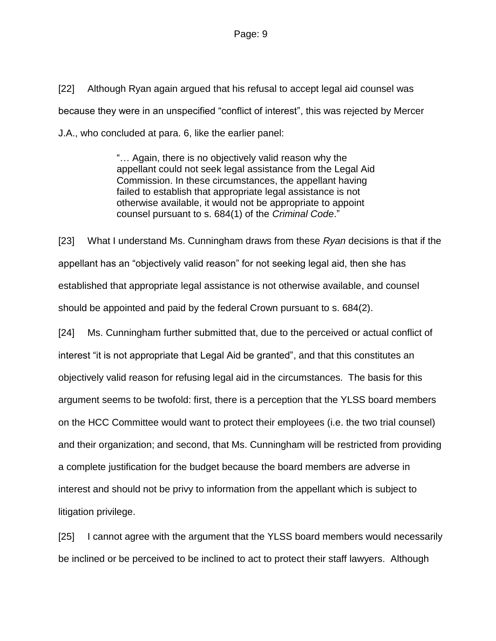[22] Although Ryan again argued that his refusal to accept legal aid counsel was because they were in an unspecified "conflict of interest", this was rejected by Mercer J.A., who concluded at para. 6, like the earlier panel:

> "… Again, there is no objectively valid reason why the appellant could not seek legal assistance from the Legal Aid Commission. In these circumstances, the appellant having failed to establish that appropriate legal assistance is not otherwise available, it would not be appropriate to appoint counsel pursuant to s. 684(1) of the *Criminal Code*."

[23] What I understand Ms. Cunningham draws from these *Ryan* decisions is that if the appellant has an "objectively valid reason" for not seeking legal aid, then she has established that appropriate legal assistance is not otherwise available, and counsel should be appointed and paid by the federal Crown pursuant to s. 684(2).

[24] Ms. Cunningham further submitted that, due to the perceived or actual conflict of interest "it is not appropriate that Legal Aid be granted", and that this constitutes an objectively valid reason for refusing legal aid in the circumstances. The basis for this argument seems to be twofold: first, there is a perception that the YLSS board members on the HCC Committee would want to protect their employees (i.e. the two trial counsel) and their organization; and second, that Ms. Cunningham will be restricted from providing a complete justification for the budget because the board members are adverse in interest and should not be privy to information from the appellant which is subject to litigation privilege.

[25] I cannot agree with the argument that the YLSS board members would necessarily be inclined or be perceived to be inclined to act to protect their staff lawyers. Although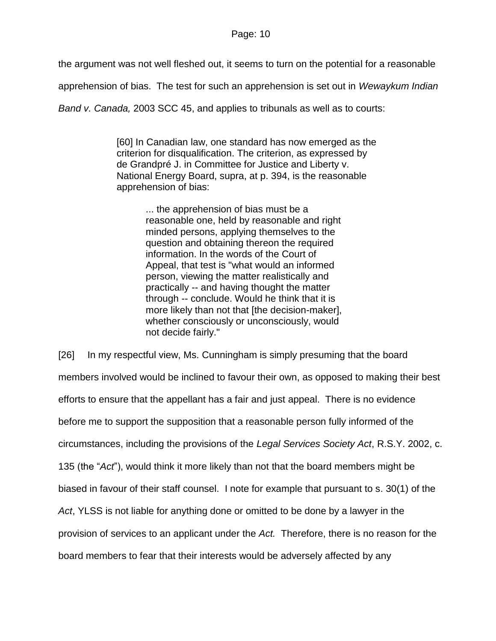the argument was not well fleshed out, it seems to turn on the potential for a reasonable

apprehension of bias. The test for such an apprehension is set out in *Wewaykum Indian* 

*Band v. Canada,* 2003 SCC 45, and applies to tribunals as well as to courts:

[60] In Canadian law, one standard has now emerged as the criterion for disqualification. The criterion, as expressed by de Grandpré J. in Committee for Justice and Liberty v. National Energy Board, supra, at p. 394, is the reasonable apprehension of bias:

> ... the apprehension of bias must be a reasonable one, held by reasonable and right minded persons, applying themselves to the question and obtaining thereon the required information. In the words of the Court of Appeal, that test is "what would an informed person, viewing the matter realistically and practically -- and having thought the matter through -- conclude. Would he think that it is more likely than not that [the decision-maker], whether consciously or unconsciously, would not decide fairly."

[26] In my respectful view, Ms. Cunningham is simply presuming that the board members involved would be inclined to favour their own, as opposed to making their best efforts to ensure that the appellant has a fair and just appeal. There is no evidence before me to support the supposition that a reasonable person fully informed of the circumstances, including the provisions of the *Legal Services Society Act*, R.S.Y. 2002, c. 135 (the "*Act*"), would think it more likely than not that the board members might be biased in favour of their staff counsel. I note for example that pursuant to s. 30(1) of the *Act*, YLSS is not liable for anything done or omitted to be done by a lawyer in the provision of services to an applicant under the *Act.* Therefore, there is no reason for the board members to fear that their interests would be adversely affected by any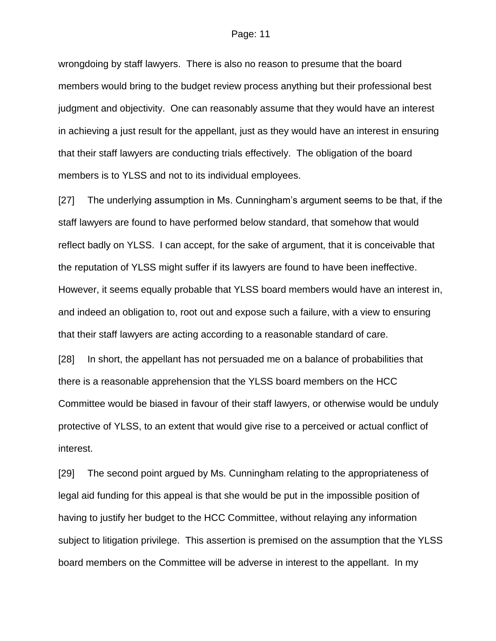wrongdoing by staff lawyers. There is also no reason to presume that the board members would bring to the budget review process anything but their professional best judgment and objectivity. One can reasonably assume that they would have an interest in achieving a just result for the appellant, just as they would have an interest in ensuring that their staff lawyers are conducting trials effectively. The obligation of the board members is to YLSS and not to its individual employees.

[27] The underlying assumption in Ms. Cunningham's argument seems to be that, if the staff lawyers are found to have performed below standard, that somehow that would reflect badly on YLSS. I can accept, for the sake of argument, that it is conceivable that the reputation of YLSS might suffer if its lawyers are found to have been ineffective. However, it seems equally probable that YLSS board members would have an interest in, and indeed an obligation to, root out and expose such a failure, with a view to ensuring that their staff lawyers are acting according to a reasonable standard of care.

[28] In short, the appellant has not persuaded me on a balance of probabilities that there is a reasonable apprehension that the YLSS board members on the HCC Committee would be biased in favour of their staff lawyers, or otherwise would be unduly protective of YLSS, to an extent that would give rise to a perceived or actual conflict of interest.

[29] The second point argued by Ms. Cunningham relating to the appropriateness of legal aid funding for this appeal is that she would be put in the impossible position of having to justify her budget to the HCC Committee, without relaying any information subject to litigation privilege. This assertion is premised on the assumption that the YLSS board members on the Committee will be adverse in interest to the appellant. In my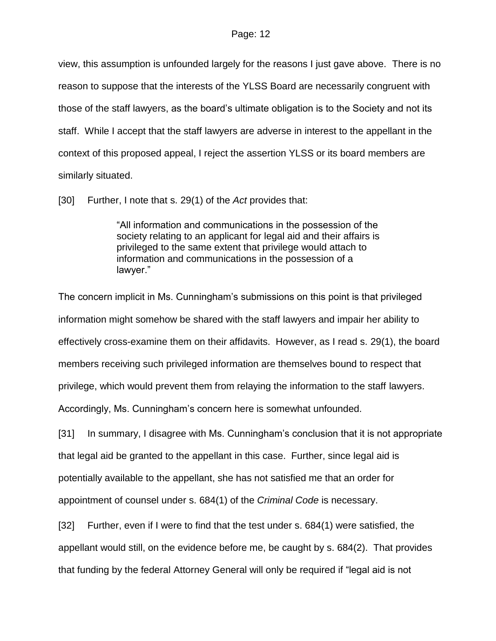view, this assumption is unfounded largely for the reasons I just gave above. There is no reason to suppose that the interests of the YLSS Board are necessarily congruent with those of the staff lawyers, as the board's ultimate obligation is to the Society and not its staff. While I accept that the staff lawyers are adverse in interest to the appellant in the context of this proposed appeal, I reject the assertion YLSS or its board members are similarly situated.

[30] Further, I note that s. 29(1) of the *Act* provides that:

"All information and communications in the possession of the society relating to an applicant for legal aid and their affairs is privileged to the same extent that privilege would attach to information and communications in the possession of a lawyer."

The concern implicit in Ms. Cunningham's submissions on this point is that privileged information might somehow be shared with the staff lawyers and impair her ability to effectively cross-examine them on their affidavits. However, as I read s. 29(1), the board members receiving such privileged information are themselves bound to respect that privilege, which would prevent them from relaying the information to the staff lawyers. Accordingly, Ms. Cunningham's concern here is somewhat unfounded.

[31] In summary, I disagree with Ms. Cunningham's conclusion that it is not appropriate that legal aid be granted to the appellant in this case. Further, since legal aid is potentially available to the appellant, she has not satisfied me that an order for appointment of counsel under s. 684(1) of the *Criminal Code* is necessary.

[32] Further, even if I were to find that the test under s. 684(1) were satisfied, the appellant would still, on the evidence before me, be caught by s. 684(2). That provides that funding by the federal Attorney General will only be required if "legal aid is not